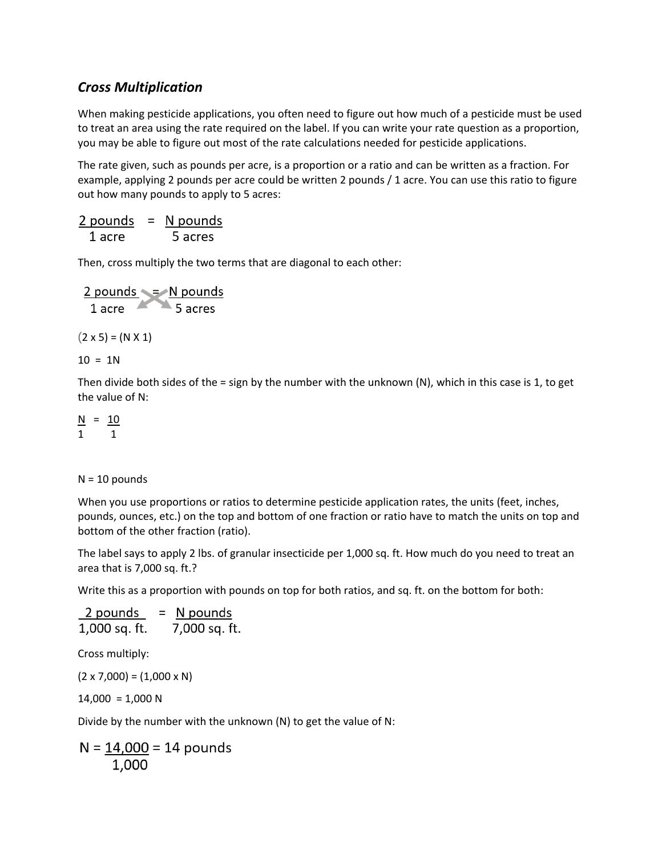## *Cross Multiplication*

When making pesticide applications, you often need to figure out how much of a pesticide must be used to treat an area using the rate required on the label. If you can write your rate question as a proportion, you may be able to figure out most of the rate calculations needed for pesticide applications.

The rate given, such as pounds per acre, is a proportion or a ratio and can be written as a fraction. For example, applying 2 pounds per acre could be written 2 pounds / 1 acre. You can use this ratio to figure out how many pounds to apply to 5 acres:

 $2$  pounds = N pounds 5 acres 1 acre

Then, cross multiply the two terms that are diagonal to each other:

 $\frac{2 \text{ pounds}}{1 \text{ acre}} = \frac{N \text{ pounds}}{5 \text{ acres}}$  $(2 \times 5) = (N \times 1)$  $10 = 1N$ 

Then divide both sides of the = sign by the number with the unknown  $(N)$ , which in this case is 1, to get the value of N:

 $N = 10$ 1 1

## $N = 10$  pounds

When you use proportions or ratios to determine pesticide application rates, the units (feet, inches, pounds, ounces, etc.) on the top and bottom of one fraction or ratio have to match the units on top and bottom of the other fraction (ratio).

The label says to apply 2 lbs. of granular insecticide per 1,000 sq. ft. How much do you need to treat an area that is 7,000 sq. ft.?

Write this as a proportion with pounds on top for both ratios, and sq. ft. on the bottom for both:

 $2$  pounds = N pounds 7,000 sq. ft. 1,000 sq. ft.

Cross multiply:

 $(2 \times 7,000) = (1,000 \times N)$ 

 $14,000 = 1,000$  N

Divide by the number with the unknown (N) to get the value of N:

$$
N = \frac{14,000}{1,000} = 14 \text{ pounds}
$$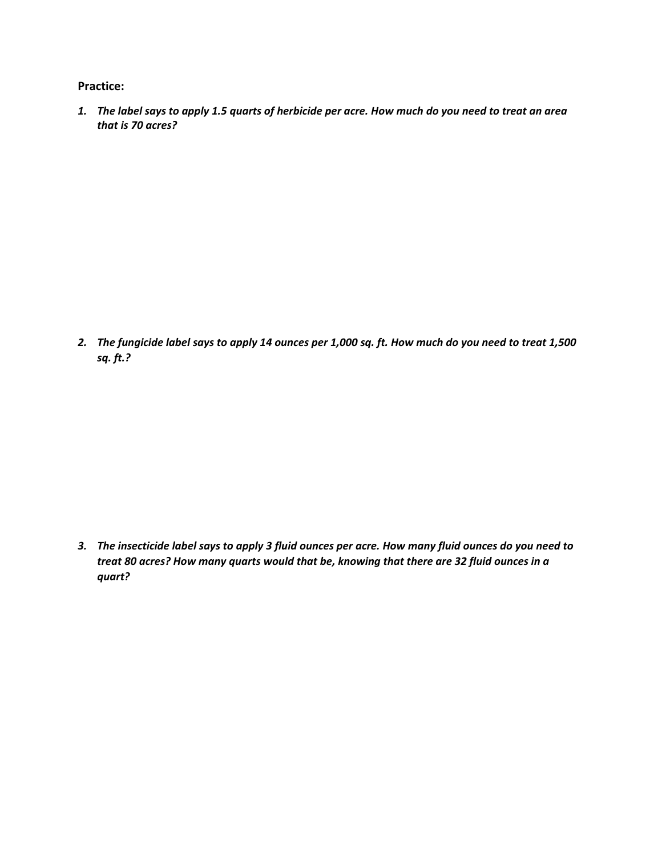**Practice:**

*1. The label says to apply 1.5 quarts of herbicide per acre. How much do you need to treat an area that is 70 acres?*

*2. The fungicide label says to apply 14 ounces per 1,000 sq. ft. How much do you need to treat 1,500 sq. ft.?*

*3. The insecticide label says to apply 3 fluid ounces per acre. How many fluid ounces do you need to treat 80 acres? How many quarts would that be, knowing that there are 32 fluid ounces in a quart?*